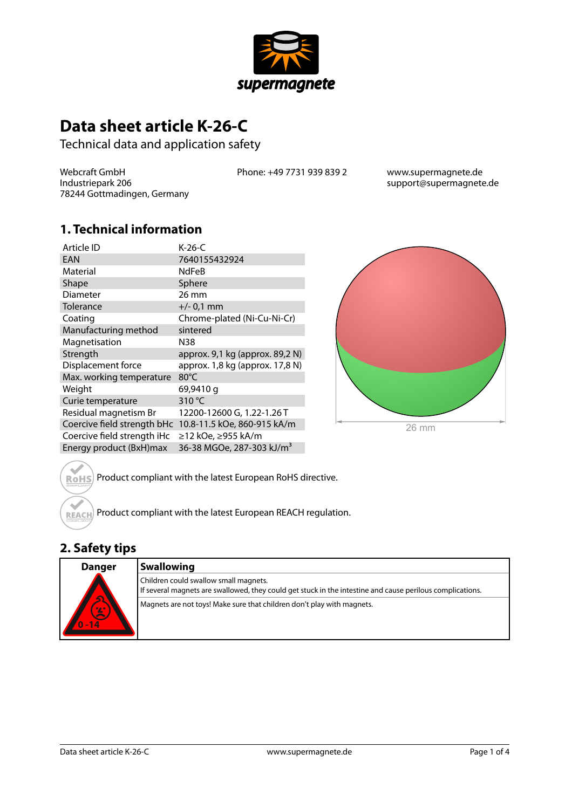

# **Data sheet article K-26-C**

Technical data and application safety

Webcraft GmbH Industriepark 206 78244 Gottmadingen, Germany Phone: +49 7731 939 839 2 www.supermagnete.de

support@supermagnete.de

#### **1. Technical information**

| Article ID                  | $K-26-C$                              |
|-----------------------------|---------------------------------------|
| <b>EAN</b>                  | 7640155432924                         |
| Material                    | <b>NdFeB</b>                          |
| Shape                       | Sphere                                |
| <b>Diameter</b>             | $26 \text{ mm}$                       |
| Tolerance                   | $+/- 0.1$ mm                          |
| Coating                     | Chrome-plated (Ni-Cu-Ni-Cr)           |
| Manufacturing method        | sintered                              |
| Magnetisation               | N38                                   |
| Strength                    | approx. 9,1 kg (approx. 89,2 N)       |
| Displacement force          | approx. 1,8 kg (approx. 17,8 N)       |
| Max. working temperature    | 80°C                                  |
| Weight                      | 69,9410 g                             |
| Curie temperature           | 310 °C                                |
| Residual magnetism Br       | 12200-12600 G, 1.22-1.26 T            |
| Coercive field strength bHc | 10.8-11.5 kOe, 860-915 kA/m           |
| Coercive field strength iHc | ≥12 kOe, ≥955 kA/m                    |
| Energy product (BxH)max     | 36-38 MGOe, 287-303 kJ/m <sup>3</sup> |



Product compliant with the latest European RoHS directive. **RoHS** 

Product compliant with the latest European REACH regulation. **REACH** 

## **2. Safety tips**

| <b>Danger</b> | <b>Swallowing</b>                                                                                                                                  |
|---------------|----------------------------------------------------------------------------------------------------------------------------------------------------|
| $\triangle$   | Children could swallow small magnets.<br>If several magnets are swallowed, they could get stuck in the intestine and cause perilous complications. |
| 0/2<br>$-14$  | Magnets are not toys! Make sure that children don't play with magnets.                                                                             |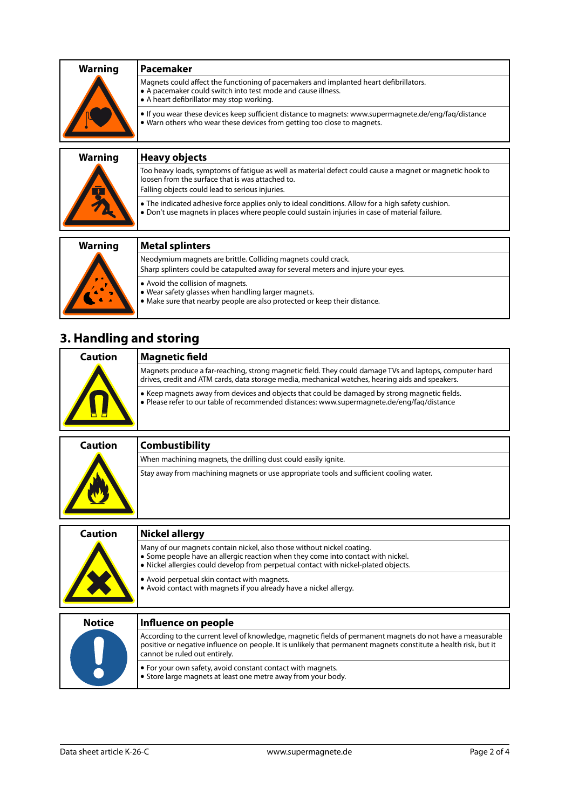| <b>Warning</b> | Pacemaker                                                                                                                                                                                           |
|----------------|-----------------------------------------------------------------------------------------------------------------------------------------------------------------------------------------------------|
|                | Magnets could affect the functioning of pacemakers and implanted heart defibrillators.<br>• A pacemaker could switch into test mode and cause illness.<br>• A heart defibrillator may stop working. |
|                | • If you wear these devices keep sufficient distance to magnets: www.supermagnete.de/eng/fag/distance<br>• Warn others who wear these devices from getting too close to magnets.                    |
|                |                                                                                                                                                                                                     |

| <b>Warning</b><br>$\mathbb{F}$ | <b>Heavy objects</b>                                                                                                                                                                                            |
|--------------------------------|-----------------------------------------------------------------------------------------------------------------------------------------------------------------------------------------------------------------|
|                                | Too heavy loads, symptoms of fatigue as well as material defect could cause a magnet or magnetic hook to<br>loosen from the surface that is was attached to.<br>Falling objects could lead to serious injuries. |
|                                | • The indicated adhesive force applies only to ideal conditions. Allow for a high safety cushion.<br>. Don't use magnets in places where people could sustain injuries in case of material failure.             |
| <b>Warning</b>                 | <b>Metal splinters</b>                                                                                                                                                                                          |
|                                | Neodymium magnets are brittle. Colliding magnets could crack.<br>Sharp splinters could be catapulted away for several meters and injure your eyes.                                                              |

- **•** Avoid the collision of magnets.
- **•** Wear safety glasses when handling larger magnets.
- **•** Make sure that nearby people are also protected or keep their distance.

# **3. Handling and storing**

| Caution | Magnetic field                                                                                                                                                                                              |
|---------|-------------------------------------------------------------------------------------------------------------------------------------------------------------------------------------------------------------|
|         | Magnets produce a far-reaching, strong magnetic field. They could damage TVs and laptops, computer hard<br>drives, credit and ATM cards, data storage media, mechanical watches, hearing aids and speakers. |
|         | • Keep magnets away from devices and objects that could be damaged by strong magnetic fields.<br>$\bullet$ Please refer to our table of recommended distances: www.supermagnete.de/eng/faq/distance         |

| Caution | <b>Combustibility</b>                                                                   |
|---------|-----------------------------------------------------------------------------------------|
|         | When machining magnets, the drilling dust could easily ignite.                          |
|         | Stay away from machining magnets or use appropriate tools and sufficient cooling water. |

| <b>Caution</b> | Nickel allergy                                                                                                                                                                                                                                    |
|----------------|---------------------------------------------------------------------------------------------------------------------------------------------------------------------------------------------------------------------------------------------------|
|                | Many of our magnets contain nickel, also those without nickel coating.<br>• Some people have an allergic reaction when they come into contact with nickel.<br>. Nickel allergies could develop from perpetual contact with nickel-plated objects. |
|                | • Avoid perpetual skin contact with magnets.<br>• Avoid contact with magnets if you already have a nickel allergy.                                                                                                                                |
| <b>Notice</b>  | Influence on people                                                                                                                                                                                                                               |
|                | According to the current level of knowledge, magnetic fields of permanent magnets do not have a measurable<br>positive or negative influence on people. It is unlikely that permanent magnets constitute a health risk, but it                    |

|  |                                                                                                                                              | positive or negative influence on people. It is unlikely that permanent magnets constitute a health risk, but it<br><b>c</b> annot be ruled out entirely. |
|--|----------------------------------------------------------------------------------------------------------------------------------------------|-----------------------------------------------------------------------------------------------------------------------------------------------------------|
|  | $\bullet$ For your own safety, avoid constant contact with magnets.<br>$\bullet$ Store large magnets at least one metre away from your body. |                                                                                                                                                           |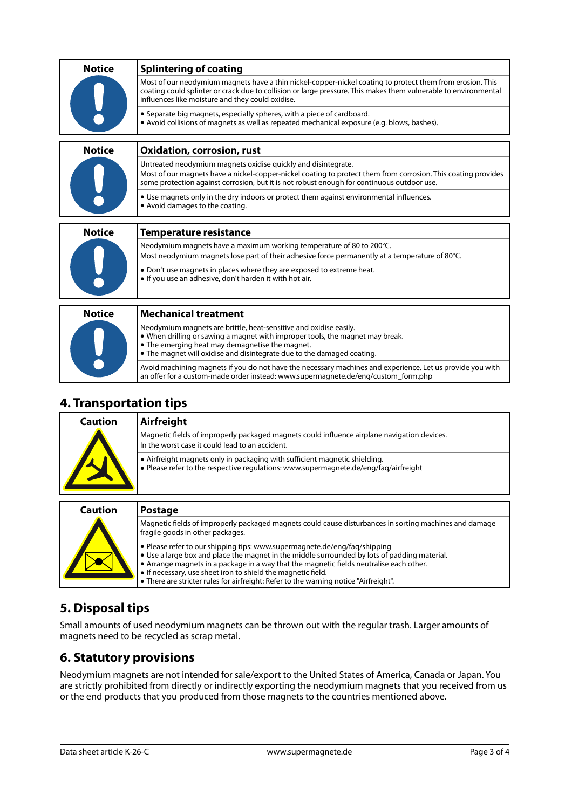| <b>Notice</b> | <b>Splintering of coating</b>                                                                                                                                                                                                                                                    |
|---------------|----------------------------------------------------------------------------------------------------------------------------------------------------------------------------------------------------------------------------------------------------------------------------------|
|               | Most of our neodymium magnets have a thin nickel-copper-nickel coating to protect them from erosion. This<br>coating could splinter or crack due to collision or large pressure. This makes them vulnerable to environmental<br>influences like moisture and they could oxidise. |
|               | • Separate big magnets, especially spheres, with a piece of cardboard.<br>• Avoid collisions of magnets as well as repeated mechanical exposure (e.g. blows, bashes).                                                                                                            |
| <b>Notice</b> | <b>Oxidation, corrosion, rust</b>                                                                                                                                                                                                                                                |
|               | Untreated neodymium magnets oxidise quickly and disintegrate.<br>Most of our magnets have a nickel-copper-nickel coating to protect them from corrosion. This coating provides<br>some protection against corrosion, but it is not robust enough for continuous outdoor use.     |
|               | • Use magnets only in the dry indoors or protect them against environmental influences.<br>• Avoid damages to the coating.                                                                                                                                                       |
| <b>Notice</b> | <b>Temperature resistance</b>                                                                                                                                                                                                                                                    |
|               | Neodymium magnets have a maximum working temperature of 80 to 200°C.                                                                                                                                                                                                             |
|               | Most neodymium magnets lose part of their adhesive force permanently at a temperature of 80°C.                                                                                                                                                                                   |
|               | • Don't use magnets in places where they are exposed to extreme heat.<br>. If you use an adhesive, don't harden it with hot air.                                                                                                                                                 |
|               |                                                                                                                                                                                                                                                                                  |
| <b>Notice</b> | <b>Mechanical treatment</b>                                                                                                                                                                                                                                                      |
|               | Neodymium magnets are brittle, heat-sensitive and oxidise easily.<br>• When drilling or sawing a magnet with improper tools, the magnet may break.<br>• The emerging heat may demagnetise the magnet.<br>• The magnet will oxidise and disintegrate due to the damaged coating.  |
|               | Avoid machining magnets if you do not have the necessary machines and experience. Let us provide you with                                                                                                                                                                        |

#### **4. Transportation tips**

| Caution | Airfreight                                                                                                                                                         |
|---------|--------------------------------------------------------------------------------------------------------------------------------------------------------------------|
|         | Magnetic fields of improperly packaged magnets could influence airplane navigation devices.<br>In the worst case it could lead to an accident.                     |
|         | • Airfreight magnets only in packaging with sufficient magnetic shielding.<br>. Please refer to the respective regulations: www.supermagnete.de/eng/faq/airfreight |

an offer for a custom-made order instead: [www.supermagnete.de/eng/custom\\_form.php](http://www.supermagnete.de/eng/custom_form.php)

| <b>Caution</b> | <b>Postage</b>                                                                                                                                                                                                                                                                                                                                                                                                                       |
|----------------|--------------------------------------------------------------------------------------------------------------------------------------------------------------------------------------------------------------------------------------------------------------------------------------------------------------------------------------------------------------------------------------------------------------------------------------|
|                | Magnetic fields of improperly packaged magnets could cause disturbances in sorting machines and damage<br>fragile goods in other packages.                                                                                                                                                                                                                                                                                           |
|                | • Please refer to our shipping tips: www.supermagnete.de/eng/fag/shipping<br>$\bullet$ Use a large box and place the magnet in the middle surrounded by lots of padding material.<br>• Arrange magnets in a package in a way that the magnetic fields neutralise each other.<br>• If necessary, use sheet iron to shield the magnetic field.<br>• There are stricter rules for airfreight: Refer to the warning notice "Airfreight". |

## **5. Disposal tips**

Small amounts of used neodymium magnets can be thrown out with the regular trash. Larger amounts of magnets need to be recycled as scrap metal.

### **6. Statutory provisions**

Neodymium magnets are not intended for sale/export to the United States of America, Canada or Japan. You are strictly prohibited from directly or indirectly exporting the neodymium magnets that you received from us or the end products that you produced from those magnets to the countries mentioned above.